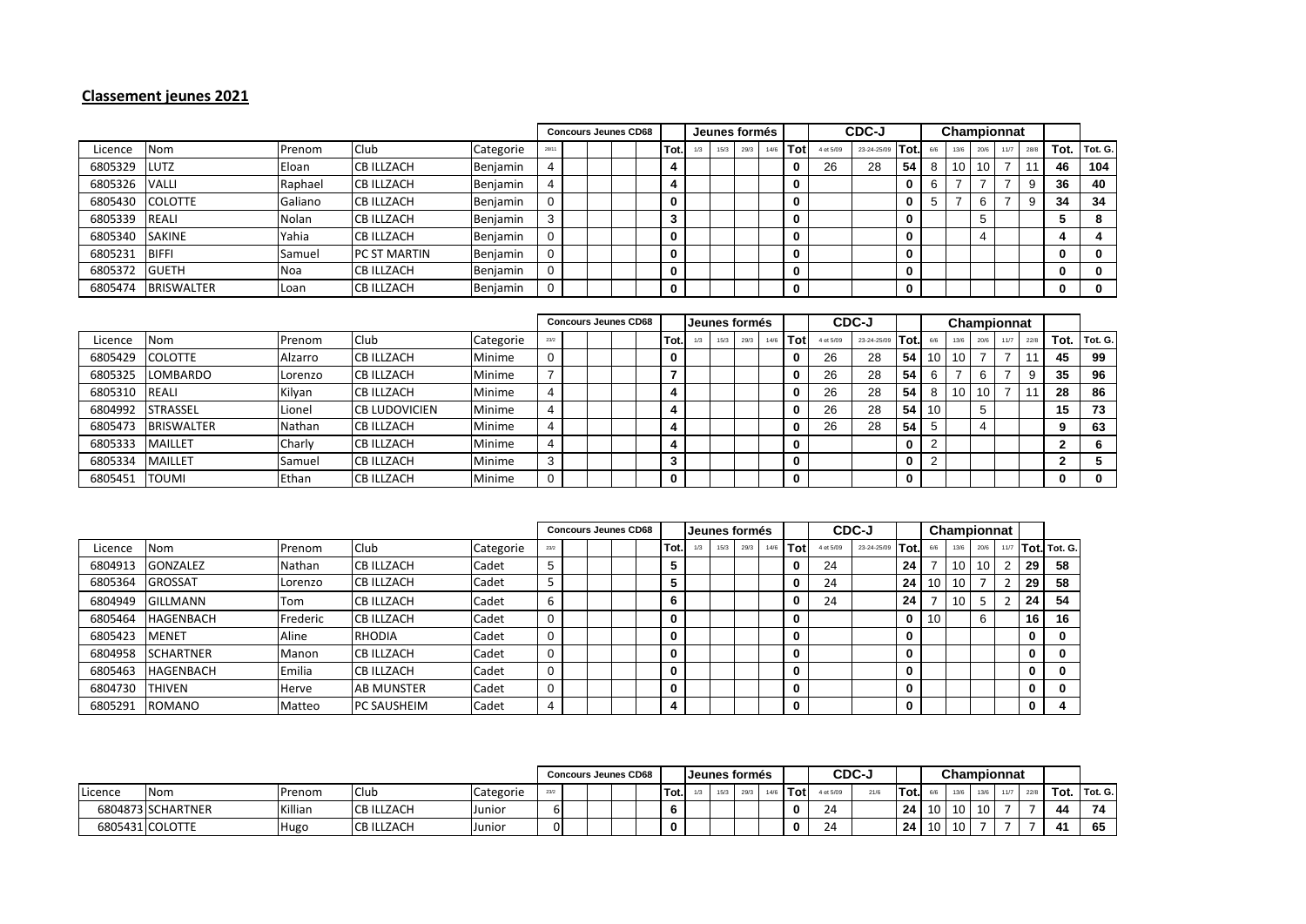## **Classement jeunes 2021**

|                 |                   |         |                      |           |       | <b>Concours Jeunes CD68</b> |  |  |  |      | Jeunes formés |      |      |      |            | CDC-J     |             |      | Championnat |      |      |      |       |              |         |
|-----------------|-------------------|---------|----------------------|-----------|-------|-----------------------------|--|--|--|------|---------------|------|------|------|------------|-----------|-------------|------|-------------|------|------|------|-------|--------------|---------|
| Licence         | Nom               | Prenom  | <b>Club</b>          | Categorie | 28/11 |                             |  |  |  | Tot. |               | 15/3 | 29/3 | 14/6 | <b>Tot</b> | 4 et 5/09 | 23-24-25/09 | Tot. | 6/6         | 13/6 | 20/6 | 11/7 | 28/8  | Tot.         | Tot. G. |
| 6805329         | <b>LUTZ</b>       | Eloan   | <b>CB ILLZACH</b>    | Benjamin  | 4     |                             |  |  |  |      |               |      |      |      | 0          | 26        | 28          | 54   | 8           | 10   | 10   |      | $-11$ | 46           | 104     |
| 6805326         | <b>VALLI</b>      | Raphael | <b>CB ILLZACH</b>    | Benjamin  |       |                             |  |  |  |      |               |      |      |      | 0          |           |             | 0    | 6           |      |      |      | 9     | 36           | 40      |
| 6805430 COLOTTE |                   | Galiano | <b>ICB ILLZACH</b>   | Benjamin  | 0     |                             |  |  |  |      |               |      |      |      | 0          |           |             |      | 5           |      | 6    |      | 9     | 34           | 34      |
| 6805339         | REALI             | Nolan   | <b>CB ILLZACH</b>    | Benjamin  | 3     |                             |  |  |  |      |               |      |      |      | 0          |           |             | 0    |             |      |      |      |       |              | 8       |
| 6805340         | <b>SAKINE</b>     | Yahia   | <b>CB ILLZACH</b>    | Benjamin  | 0     |                             |  |  |  |      |               |      |      |      | $\bf{0}$   |           |             | 0    |             |      | 4    |      |       |              |         |
| 6805231         | <b>BIFFI</b>      | Samuel  | <b>IPC ST MARTIN</b> | Benjamin  | 0     |                             |  |  |  |      |               |      |      |      | 0          |           |             | 0    |             |      |      |      |       | 0            | 0       |
| 6805372         | <b>GUETH</b>      | Noa     | <b>CB ILLZACH</b>    | Benjamin  | 0     |                             |  |  |  |      |               |      |      |      | 0          |           |             | 0    |             |      |      |      |       | 0            |         |
| 6805474         | <b>BRISWALTER</b> | Loan    | <b>CB ILLZACH</b>    | Benjamin  | 0     |                             |  |  |  |      |               |      |      |      | $\bf{0}$   |           |             | 0    |             |      |      |      |       | $\mathbf{0}$ | 0       |

|         |                   |         |                      |           | <b>Concours Jeunes CD68</b> |  |  |  |  |     | Jeunes formés |      |      |      |      | CDC-J     |             |      |                 | Championnat |      |      |      |      |         |
|---------|-------------------|---------|----------------------|-----------|-----------------------------|--|--|--|--|-----|---------------|------|------|------|------|-----------|-------------|------|-----------------|-------------|------|------|------|------|---------|
| Licence | Nom               | Prenom  | Club                 | Categorie | 23/2                        |  |  |  |  | Tot |               | 15/3 | 29/3 | 14/6 | Totl | 4 et 5/09 | 23-24-25/09 | Tot. | 6/6             | 13/6        | 20/6 | 11/7 | 22/8 | Tot. | Tot. G. |
| 6805429 | <b>COLOTTE</b>    | Alzarro | <b>CB ILLZACH</b>    | Minime    | 0                           |  |  |  |  |     |               |      |      |      | 0    | 26        | 28          | 54   | 10              | 10          |      |      |      | 45   | 99      |
| 6805325 | LOMBARDO          | Lorenzo | <b>CB ILLZACH</b>    | Minime    |                             |  |  |  |  |     |               |      |      |      | 0    | 26        | 28          | 54   |                 |             |      |      | 9    | 35   | 96      |
| 6805310 | REALI             | Kilyan  | <b>CB ILLZACH</b>    | Minime    | 4                           |  |  |  |  |     |               |      |      |      | 0    | 26        | 28          | 54   |                 | 10          | 10   |      |      | 28   | 86      |
| 6804992 | <b>STRASSEL</b>   | Lionel  | <b>CB LUDOVICIEN</b> | Minime    | 4                           |  |  |  |  |     |               |      |      |      | 0    | 26        | 28          | 54   | 10 <sup>1</sup> |             |      |      |      | 15   | 73      |
| 6805473 | <b>BRISWALTER</b> | Nathan  | <b>CB ILLZACH</b>    | Minime    | 4                           |  |  |  |  |     |               |      |      |      | 0    | 26        | 28          | 54   |                 |             |      |      |      |      | 63      |
| 6805333 | <b>MAILLET</b>    | Charly  | <b>CB ILLZACH</b>    | Minime    | 4                           |  |  |  |  |     |               |      |      |      | 0    |           |             |      |                 |             |      |      |      |      | 6       |
| 6805334 | <b>MAILLET</b>    | Samuel  | <b>CB ILLZACH</b>    | Minime    | 3                           |  |  |  |  |     |               |      |      |      | 0    |           |             |      |                 |             |      |      |      |      |         |
| 6805451 | <b>ITOUMI</b>     | Ethan   | <b>CB ILLZACH</b>    | Minime    | $\mathbf 0$                 |  |  |  |  |     |               |      |      |      | 0    |           |             |      |                 |             |      |      |      |      | 0       |

|         |                  |               |                    |           | <b>Concours Jeunes CD68</b> |  |  |  |  |          | Jeunes formés |      |      |      |          | CDC-J     |             |      | Championnat |      |      |                |    |              |
|---------|------------------|---------------|--------------------|-----------|-----------------------------|--|--|--|--|----------|---------------|------|------|------|----------|-----------|-------------|------|-------------|------|------|----------------|----|--------------|
| Licence | Nom              | Prenom        | Club               | Categorie | 23/2                        |  |  |  |  | Tot.     |               | 15/3 | 29/3 | 14/6 | Tot      | 4 et 5/09 | 23-24-25/09 | Tot. |             | 13/6 | 20/6 | 11/7           |    | Tot. Tot. G. |
| 6804913 | <b>GONZALEZ</b>  | <b>Nathan</b> | <b>CB ILLZACH</b>  | Cadet     | 5                           |  |  |  |  | 5        |               |      |      |      |          | 24        |             | 24   |             | 10   | 10   | $\overline{2}$ | 29 | 58           |
| 6805364 | <b>GROSSAT</b>   | Lorenzo       | <b>CB ILLZACH</b>  | Cadet     |                             |  |  |  |  | 5        |               |      |      |      |          | 24        |             | 24   | 10          | 10   |      |                | 29 | 58           |
| 6804949 | <b>GILLMANN</b>  | Tom           | <b>CB ILLZACH</b>  | Cadet     | 6                           |  |  |  |  | 6        |               |      |      |      |          | 24        |             | 24   |             | 10   |      |                | 24 | 54           |
| 6805464 | <b>HAGENBACH</b> | Frederic      | <b>CB ILLZACH</b>  | Cadet     | $\mathbf 0$                 |  |  |  |  | $\bf{0}$ |               |      |      |      |          |           |             | 0    | 10          |      | 6    |                | 16 | 16           |
| 6805423 | <b>MENET</b>     | Aline         | <b>RHODIA</b>      | Cadet     | $\mathbf 0$                 |  |  |  |  | 0        |               |      |      |      |          |           |             | 0    |             |      |      |                | 0  |              |
| 6804958 | <b>SCHARTNER</b> | Manon         | <b>CB ILLZACH</b>  | Cadet     | $\mathbf 0$                 |  |  |  |  | $\bf{0}$ |               |      |      |      | 0        |           |             | 0    |             |      |      |                | 0  |              |
| 6805463 | HAGENBACH        | Emilia        | <b>CB ILLZACH</b>  | Cadet     | $\mathbf 0$                 |  |  |  |  | 0        |               |      |      |      | $\Omega$ |           |             | 0    |             |      |      |                | 0  |              |
| 6804730 | <b>THIVEN</b>    | Herve         | <b>AB MUNSTER</b>  | Cadet     | $\mathbf 0$                 |  |  |  |  | 0        |               |      |      |      |          |           |             | 0    |             |      |      |                | 0  | 0            |
| 6805291 | <b>ROMANO</b>    | Matteo        | <b>PC SAUSHEIM</b> | Cadet     | 4                           |  |  |  |  | 4        |               |      |      |      | 0        |           |             | 0    |             |      |      |                | 0  |              |

|         |                   |         |                   |           | <b>Concours Jeunes CD68</b> |  |  |  | <b>IJeunes formés</b> |      |  |      |      |  |          | <b>CDC-J</b> |      |      | <b>Championnat</b> |      |      |      |      |      |         |
|---------|-------------------|---------|-------------------|-----------|-----------------------------|--|--|--|-----------------------|------|--|------|------|--|----------|--------------|------|------|--------------------|------|------|------|------|------|---------|
| Licence | <b>Nom</b>        | Prenom  | <b>Club</b>       | Categorie | 23/2                        |  |  |  |                       | Tot. |  | 15/3 | 29/3 |  | Tot      | 4 et 5/09    | 21/6 | 'Tot |                    | 13/6 | 13/6 | 11/7 | 22/8 | Tot. | Tot. G. |
|         | 6804873 SCHARTNER | Killian | <b>CB ILLZACH</b> | Junior    | ы                           |  |  |  |                       |      |  |      |      |  | $\Omega$ | $\sim$<br>24 |      | -24  | 10 <sup>1</sup>    | 10   | 10   |      |      | 44   | 74      |
|         | 6805431 COLOTTE   | Hugo    | <b>CB ILLZACH</b> | Junior    | 01                          |  |  |  |                       | 0    |  |      |      |  | $\Omega$ | $\sim$<br>24 |      | -24  | - 10               | 10   |      |      |      |      | 65      |